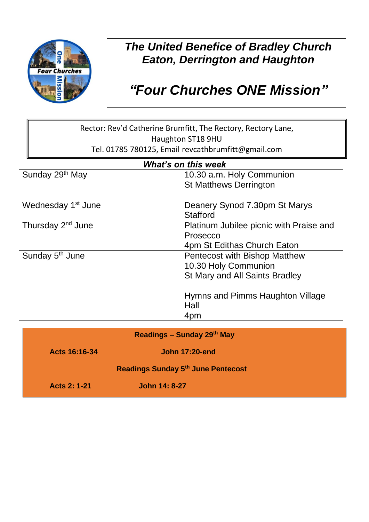

## *The United Benefice of Bradley Church Eaton, Derrington and Haughton*

# *"Four Churches ONE Mission"*

#### Rector: Rev'd Catherine Brumfitt, The Rectory, Rectory Lane, Haughton ST18 9HU Tel. 01785 780125, Email revcathbrumfitt@gmail.com

| <b>What's on this week</b>     |                                         |  |
|--------------------------------|-----------------------------------------|--|
| Sunday 29 <sup>th</sup> May    | 10.30 a.m. Holy Communion               |  |
|                                | <b>St Matthews Derrington</b>           |  |
| Wednesday 1 <sup>st</sup> June | Deanery Synod 7.30pm St Marys           |  |
|                                | <b>Stafford</b>                         |  |
| Thursday 2 <sup>nd</sup> June  | Platinum Jubilee picnic with Praise and |  |
|                                | Prosecco                                |  |
|                                | 4pm St Edithas Church Eaton             |  |
| Sunday 5 <sup>th</sup> June    | Pentecost with Bishop Matthew           |  |
|                                | 10.30 Holy Communion                    |  |
|                                | St Mary and All Saints Bradley          |  |
|                                | Hymns and Pimms Haughton Village        |  |
|                                | Hall                                    |  |
|                                | 4pm                                     |  |

| <b>Readings - Sunday 29th May</b>         |                       |  |
|-------------------------------------------|-----------------------|--|
| Acts 16:16-34                             | <b>John 17:20-end</b> |  |
| <b>Readings Sunday 5th June Pentecost</b> |                       |  |
| <b>Acts 2: 1-21</b>                       | <b>John 14: 8-27</b>  |  |